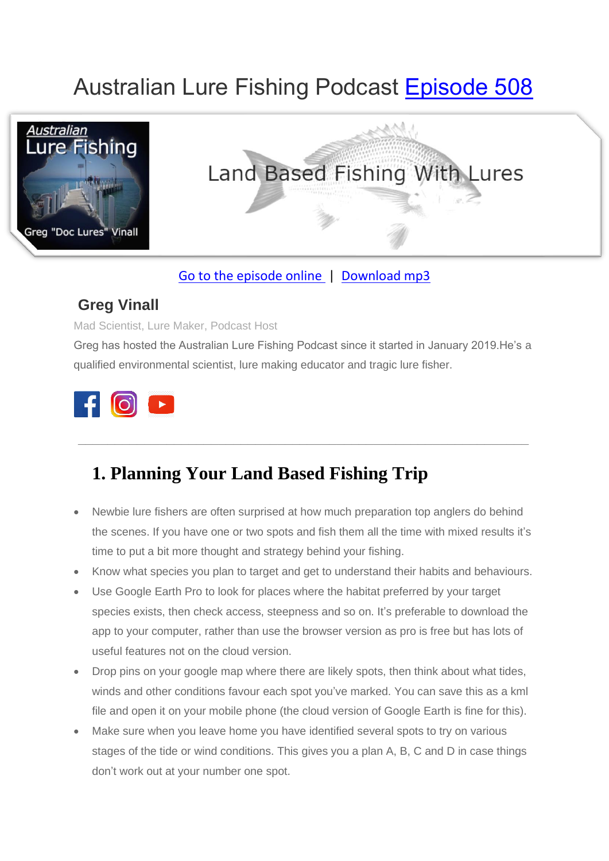# Australian Lure Fishing Podcast [Episode 508](https://doclures.com/land-based-fishing-lures-greg-vinall/)



# Land Based Fishing With Lures

#### [Go to the episode online](https://doclures.com/land-based-fishing-lures-greg-vinall/) | [Download mp3](https://traffic.libsyn.com/doclures/508-land-based-lure-fishing-greg-vinall.mp3)

#### **Greg Vinall**

Mad Scientist, Lure Maker, Podcast Host

Greg has hosted the Australian Lure Fishing Podcast since it started in January 2019.He's a qualified environmental scientist, lure making educator and tragic lure fisher.

**\_\_\_\_\_\_\_\_\_\_\_\_\_\_\_\_\_\_\_\_\_\_\_\_\_\_\_\_\_\_\_\_\_\_\_\_\_\_\_\_\_\_\_\_\_\_\_\_\_\_\_\_\_\_\_\_\_\_\_\_\_**



## **1. Planning Your Land Based Fishing Trip**

- Newbie lure fishers are often surprised at how much preparation top anglers do behind the scenes. If you have one or two spots and fish them all the time with mixed results it's time to put a bit more thought and strategy behind your fishing.
- Know what species you plan to target and get to understand their habits and behaviours.
- Use Google Earth Pro to look for places where the habitat preferred by your target species exists, then check access, steepness and so on. It's preferable to download the app to your computer, rather than use the browser version as pro is free but has lots of useful features not on the cloud version.
- Drop pins on your google map where there are likely spots, then think about what tides, winds and other conditions favour each spot you've marked. You can save this as a kml file and open it on your mobile phone (the cloud version of Google Earth is fine for this).
- Make sure when you leave home you have identified several spots to try on various stages of the tide or wind conditions. This gives you a plan A, B, C and D in case things don't work out at your number one spot.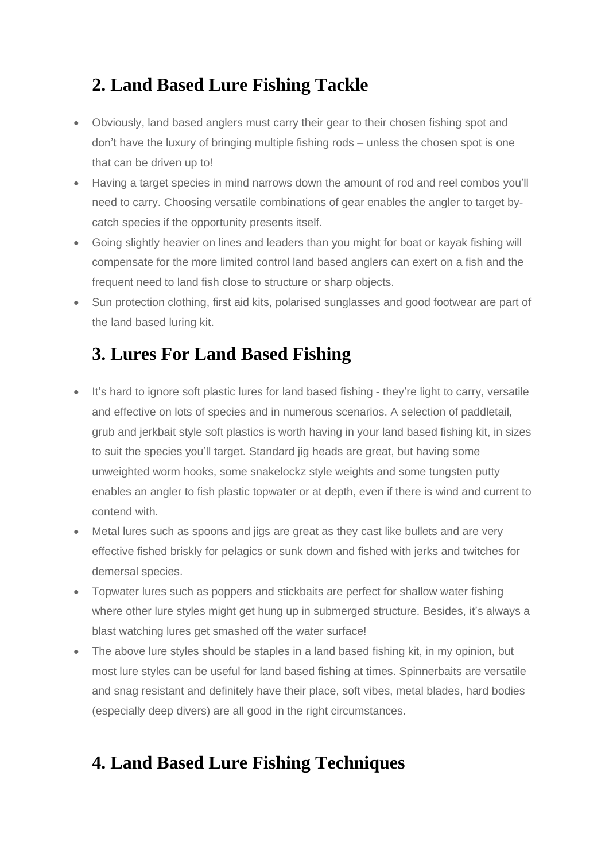#### **2. Land Based Lure Fishing Tackle**

- Obviously, land based anglers must carry their gear to their chosen fishing spot and don't have the luxury of bringing multiple fishing rods – unless the chosen spot is one that can be driven up to!
- Having a target species in mind narrows down the amount of rod and reel combos you'll need to carry. Choosing versatile combinations of gear enables the angler to target bycatch species if the opportunity presents itself.
- Going slightly heavier on lines and leaders than you might for boat or kayak fishing will compensate for the more limited control land based anglers can exert on a fish and the frequent need to land fish close to structure or sharp objects.
- Sun protection clothing, first aid kits, polarised sunglasses and good footwear are part of the land based luring kit.

#### **3. Lures For Land Based Fishing**

- It's hard to ignore soft plastic lures for land based fishing they're light to carry, versatile and effective on lots of species and in numerous scenarios. A selection of paddletail, grub and jerkbait style soft plastics is worth having in your land based fishing kit, in sizes to suit the species you'll target. Standard jig heads are great, but having some unweighted worm hooks, some snakelockz style weights and some tungsten putty enables an angler to fish plastic topwater or at depth, even if there is wind and current to contend with.
- Metal lures such as spoons and jigs are great as they cast like bullets and are very effective fished briskly for pelagics or sunk down and fished with jerks and twitches for demersal species.
- Topwater lures such as poppers and stickbaits are perfect for shallow water fishing where other lure styles might get hung up in submerged structure. Besides, it's always a blast watching lures get smashed off the water surface!
- The above lure styles should be staples in a land based fishing kit, in my opinion, but most lure styles can be useful for land based fishing at times. Spinnerbaits are versatile and snag resistant and definitely have their place, soft vibes, metal blades, hard bodies (especially deep divers) are all good in the right circumstances.

#### **4. Land Based Lure Fishing Techniques**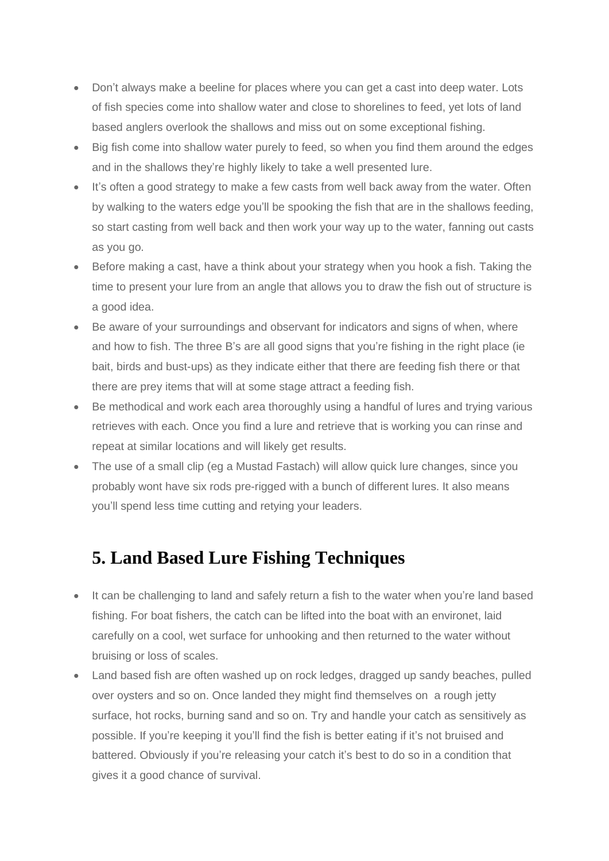- Don't always make a beeline for places where you can get a cast into deep water. Lots of fish species come into shallow water and close to shorelines to feed, yet lots of land based anglers overlook the shallows and miss out on some exceptional fishing.
- Big fish come into shallow water purely to feed, so when you find them around the edges and in the shallows they're highly likely to take a well presented lure.
- It's often a good strategy to make a few casts from well back away from the water. Often by walking to the waters edge you'll be spooking the fish that are in the shallows feeding, so start casting from well back and then work your way up to the water, fanning out casts as you go.
- Before making a cast, have a think about your strategy when you hook a fish. Taking the time to present your lure from an angle that allows you to draw the fish out of structure is a good idea.
- Be aware of your surroundings and observant for indicators and signs of when, where and how to fish. The three B's are all good signs that you're fishing in the right place (ie bait, birds and bust-ups) as they indicate either that there are feeding fish there or that there are prey items that will at some stage attract a feeding fish.
- Be methodical and work each area thoroughly using a handful of lures and trying various retrieves with each. Once you find a lure and retrieve that is working you can rinse and repeat at similar locations and will likely get results.
- The use of a small clip (eg a Mustad Fastach) will allow quick lure changes, since you probably wont have six rods pre-rigged with a bunch of different lures. It also means you'll spend less time cutting and retying your leaders.

#### **5. Land Based Lure Fishing Techniques**

- It can be challenging to land and safely return a fish to the water when you're land based fishing. For boat fishers, the catch can be lifted into the boat with an environet, laid carefully on a cool, wet surface for unhooking and then returned to the water without bruising or loss of scales.
- Land based fish are often washed up on rock ledges, dragged up sandy beaches, pulled over oysters and so on. Once landed they might find themselves on a rough jetty surface, hot rocks, burning sand and so on. Try and handle your catch as sensitively as possible. If you're keeping it you'll find the fish is better eating if it's not bruised and battered. Obviously if you're releasing your catch it's best to do so in a condition that gives it a good chance of survival.